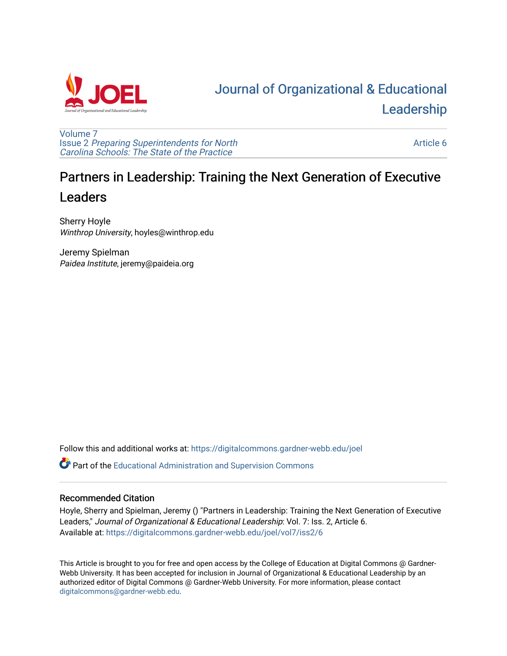

# [Journal of Organizational & Educational](https://digitalcommons.gardner-webb.edu/joel)  [Leadership](https://digitalcommons.gardner-webb.edu/joel)

[Volume 7](https://digitalcommons.gardner-webb.edu/joel/vol7) Issue 2 [Preparing Superintendents for North](https://digitalcommons.gardner-webb.edu/joel/vol7/iss2)  [Carolina Schools: The State of the Practice](https://digitalcommons.gardner-webb.edu/joel/vol7/iss2)

[Article 6](https://digitalcommons.gardner-webb.edu/joel/vol7/iss2/6) 

# Partners in Leadership: Training the Next Generation of Executive Leaders

Sherry Hoyle Winthrop University, hoyles@winthrop.edu

Jeremy Spielman Paidea Institute, jeremy@paideia.org

Follow this and additional works at: [https://digitalcommons.gardner-webb.edu/joel](https://digitalcommons.gardner-webb.edu/joel?utm_source=digitalcommons.gardner-webb.edu%2Fjoel%2Fvol7%2Fiss2%2F6&utm_medium=PDF&utm_campaign=PDFCoverPages) 

Part of the [Educational Administration and Supervision Commons](http://network.bepress.com/hgg/discipline/787?utm_source=digitalcommons.gardner-webb.edu%2Fjoel%2Fvol7%2Fiss2%2F6&utm_medium=PDF&utm_campaign=PDFCoverPages)

# Recommended Citation

Hoyle, Sherry and Spielman, Jeremy () "Partners in Leadership: Training the Next Generation of Executive Leaders," Journal of Organizational & Educational Leadership: Vol. 7: Iss. 2, Article 6. Available at: [https://digitalcommons.gardner-webb.edu/joel/vol7/iss2/6](https://digitalcommons.gardner-webb.edu/joel/vol7/iss2/6?utm_source=digitalcommons.gardner-webb.edu%2Fjoel%2Fvol7%2Fiss2%2F6&utm_medium=PDF&utm_campaign=PDFCoverPages)

This Article is brought to you for free and open access by the College of Education at Digital Commons @ Gardner-Webb University. It has been accepted for inclusion in Journal of Organizational & Educational Leadership by an authorized editor of Digital Commons @ Gardner-Webb University. For more information, please contact [digitalcommons@gardner-webb.edu](mailto:digitalcommons@gardner-webb.edu).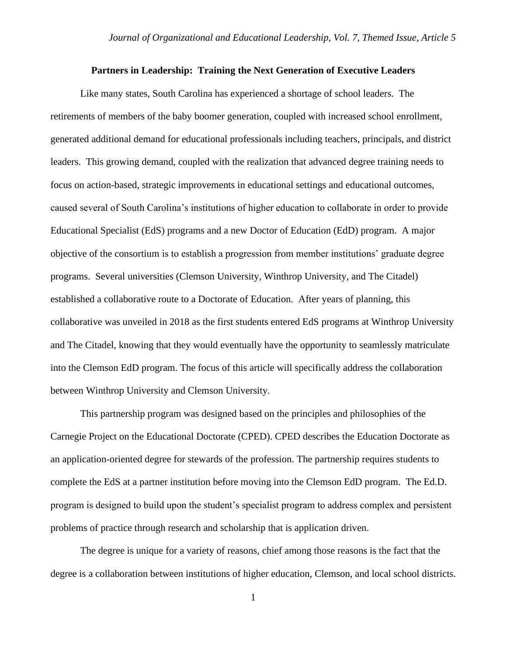#### **Partners in Leadership: Training the Next Generation of Executive Leaders**

Like many states, South Carolina has experienced a shortage of school leaders. The retirements of members of the baby boomer generation, coupled with increased school enrollment, generated additional demand for educational professionals including teachers, principals, and district leaders. This growing demand, coupled with the realization that advanced degree training needs to focus on action-based, strategic improvements in educational settings and educational outcomes, caused several of South Carolina's institutions of higher education to collaborate in order to provide Educational Specialist (EdS) programs and a new Doctor of Education (EdD) program. A major objective of the consortium is to establish a progression from member institutions' graduate degree programs. Several universities (Clemson University, Winthrop University, and The Citadel) established a collaborative route to a Doctorate of Education. After years of planning, this collaborative was unveiled in 2018 as the first students entered EdS programs at Winthrop University and The Citadel, knowing that they would eventually have the opportunity to seamlessly matriculate into the Clemson EdD program. The focus of this article will specifically address the collaboration between Winthrop University and Clemson University.

This partnership program was designed based on the principles and philosophies of the Carnegie Project on the Educational Doctorate (CPED). CPED describes the Education Doctorate as an application-oriented degree for stewards of the profession. The partnership requires students to complete the EdS at a partner institution before moving into the Clemson EdD program. The Ed.D. program is designed to build upon the student's specialist program to address complex and persistent problems of practice through research and scholarship that is application driven.

The degree is unique for a variety of reasons, chief among those reasons is the fact that the degree is a collaboration between institutions of higher education, Clemson, and local school districts.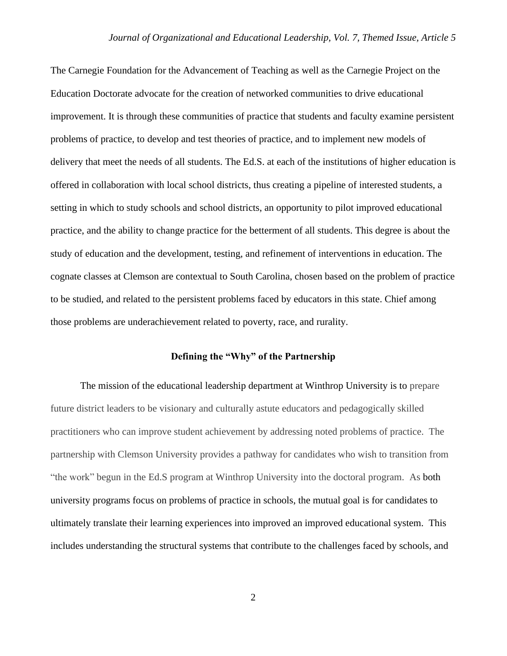The Carnegie Foundation for the Advancement of Teaching as well as the Carnegie Project on the Education Doctorate advocate for the creation of networked communities to drive educational improvement. It is through these communities of practice that students and faculty examine persistent problems of practice, to develop and test theories of practice, and to implement new models of delivery that meet the needs of all students. The Ed.S. at each of the institutions of higher education is offered in collaboration with local school districts, thus creating a pipeline of interested students, a setting in which to study schools and school districts, an opportunity to pilot improved educational practice, and the ability to change practice for the betterment of all students. This degree is about the study of education and the development, testing, and refinement of interventions in education. The cognate classes at Clemson are contextual to South Carolina, chosen based on the problem of practice to be studied, and related to the persistent problems faced by educators in this state. Chief among those problems are underachievement related to poverty, race, and rurality.

# **Defining the "Why" of the Partnership**

The mission of the educational leadership department at Winthrop University is to prepare future district leaders to be visionary and culturally astute educators and pedagogically skilled practitioners who can improve student achievement by addressing noted problems of practice. The partnership with Clemson University provides a pathway for candidates who wish to transition from "the work" begun in the Ed.S program at Winthrop University into the doctoral program. As both university programs focus on problems of practice in schools, the mutual goal is for candidates to ultimately translate their learning experiences into improved an improved educational system. This includes understanding the structural systems that contribute to the challenges faced by schools, and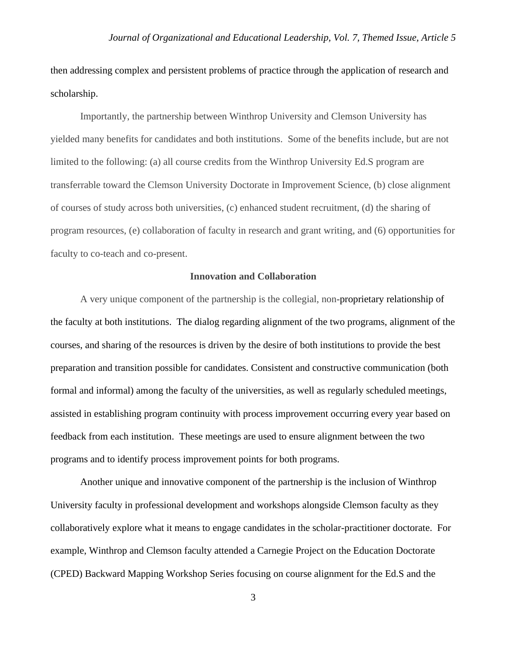then addressing complex and persistent problems of practice through the application of research and scholarship.

Importantly, the partnership between Winthrop University and Clemson University has yielded many benefits for candidates and both institutions. Some of the benefits include, but are not limited to the following: (a) all course credits from the Winthrop University Ed.S program are transferrable toward the Clemson University Doctorate in Improvement Science, (b) close alignment of courses of study across both universities, (c) enhanced student recruitment, (d) the sharing of program resources, (e) collaboration of faculty in research and grant writing, and (6) opportunities for faculty to co-teach and co-present.

#### **Innovation and Collaboration**

A very unique component of the partnership is the collegial, non**-**proprietary relationship of the faculty at both institutions. The dialog regarding alignment of the two programs, alignment of the courses, and sharing of the resources is driven by the desire of both institutions to provide the best preparation and transition possible for candidates. Consistent and constructive communication (both formal and informal) among the faculty of the universities, as well as regularly scheduled meetings, assisted in establishing program continuity with process improvement occurring every year based on feedback from each institution. These meetings are used to ensure alignment between the two programs and to identify process improvement points for both programs.

Another unique and innovative component of the partnership is the inclusion of Winthrop University faculty in professional development and workshops alongside Clemson faculty as they collaboratively explore what it means to engage candidates in the scholar-practitioner doctorate. For example, Winthrop and Clemson faculty attended a Carnegie Project on the Education Doctorate (CPED) Backward Mapping Workshop Series focusing on course alignment for the Ed.S and the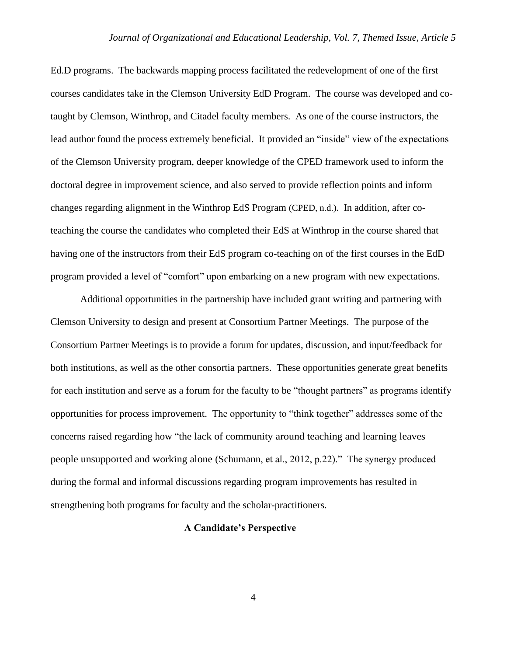Ed.D programs. The backwards mapping process facilitated the redevelopment of one of the first courses candidates take in the Clemson University EdD Program. The course was developed and cotaught by Clemson, Winthrop, and Citadel faculty members. As one of the course instructors, the lead author found the process extremely beneficial. It provided an "inside" view of the expectations of the Clemson University program, deeper knowledge of the CPED framework used to inform the doctoral degree in improvement science, and also served to provide reflection points and inform changes regarding alignment in the Winthrop EdS Program (CPED, n.d.). In addition, after coteaching the course the candidates who completed their EdS at Winthrop in the course shared that having one of the instructors from their EdS program co-teaching on of the first courses in the EdD program provided a level of "comfort" upon embarking on a new program with new expectations.

Additional opportunities in the partnership have included grant writing and partnering with Clemson University to design and present at Consortium Partner Meetings. The purpose of the Consortium Partner Meetings is to provide a forum for updates, discussion, and input/feedback for both institutions, as well as the other consortia partners. These opportunities generate great benefits for each institution and serve as a forum for the faculty to be "thought partners" as programs identify opportunities for process improvement. The opportunity to "think together" addresses some of the concerns raised regarding how "the lack of community around teaching and learning leaves people unsupported and working alone (Schumann, et al., 2012, p.22)." The synergy produced during the formal and informal discussions regarding program improvements has resulted in strengthening both programs for faculty and the scholar-practitioners.

## **A Candidate's Perspective**

4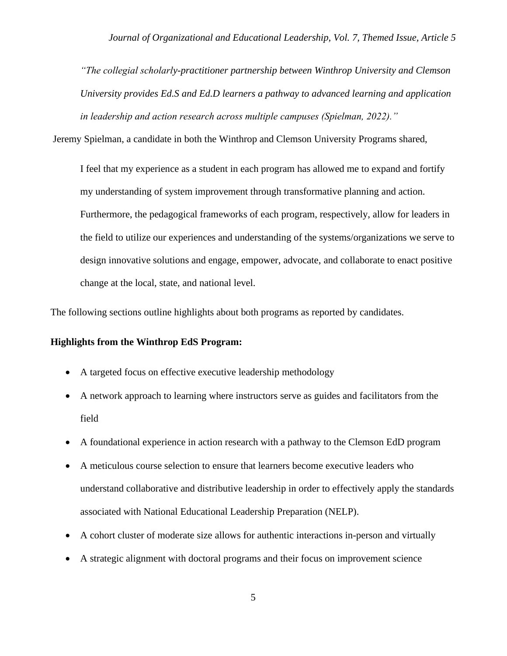*"The collegial scholarly-practitioner partnership between Winthrop University and Clemson University provides Ed.S and Ed.D learners a pathway to advanced learning and application in leadership and action research across multiple campuses (Spielman, 2022)."*

Jeremy Spielman, a candidate in both the Winthrop and Clemson University Programs shared,

I feel that my experience as a student in each program has allowed me to expand and fortify my understanding of system improvement through transformative planning and action. Furthermore, the pedagogical frameworks of each program, respectively, allow for leaders in the field to utilize our experiences and understanding of the systems/organizations we serve to design innovative solutions and engage, empower, advocate, and collaborate to enact positive change at the local, state, and national level.

The following sections outline highlights about both programs as reported by candidates.

## **Highlights from the Winthrop EdS Program:**

- A targeted focus on effective executive leadership methodology
- A network approach to learning where instructors serve as guides and facilitators from the field
- A foundational experience in action research with a pathway to the Clemson EdD program
- A meticulous course selection to ensure that learners become executive leaders who understand collaborative and distributive leadership in order to effectively apply the standards associated with National Educational Leadership Preparation (NELP).
- A cohort cluster of moderate size allows for authentic interactions in-person and virtually
- A strategic alignment with doctoral programs and their focus on improvement science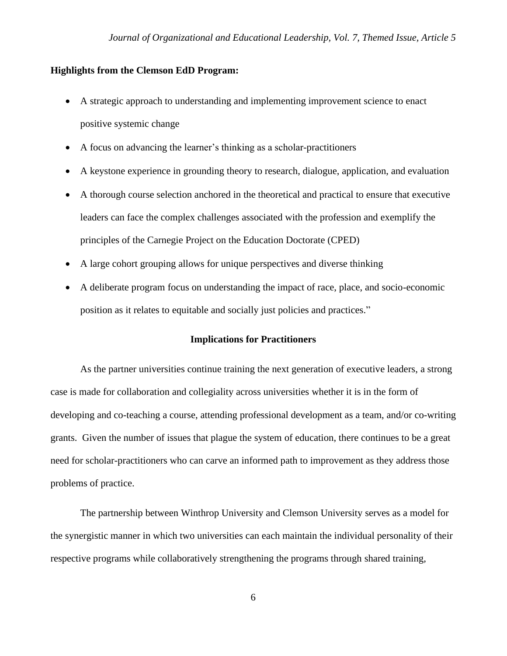### **Highlights from the Clemson EdD Program:**

- A strategic approach to understanding and implementing improvement science to enact positive systemic change
- A focus on advancing the learner's thinking as a scholar-practitioners
- A keystone experience in grounding theory to research, dialogue, application, and evaluation
- A thorough course selection anchored in the theoretical and practical to ensure that executive leaders can face the complex challenges associated with the profession and exemplify the principles of the Carnegie Project on the Education Doctorate (CPED)
- A large cohort grouping allows for unique perspectives and diverse thinking
- A deliberate program focus on understanding the impact of race, place, and socio-economic position as it relates to equitable and socially just policies and practices."

### **Implications for Practitioners**

As the partner universities continue training the next generation of executive leaders, a strong case is made for collaboration and collegiality across universities whether it is in the form of developing and co-teaching a course, attending professional development as a team, and/or co-writing grants. Given the number of issues that plague the system of education, there continues to be a great need for scholar-practitioners who can carve an informed path to improvement as they address those problems of practice.

The partnership between Winthrop University and Clemson University serves as a model for the synergistic manner in which two universities can each maintain the individual personality of their respective programs while collaboratively strengthening the programs through shared training,